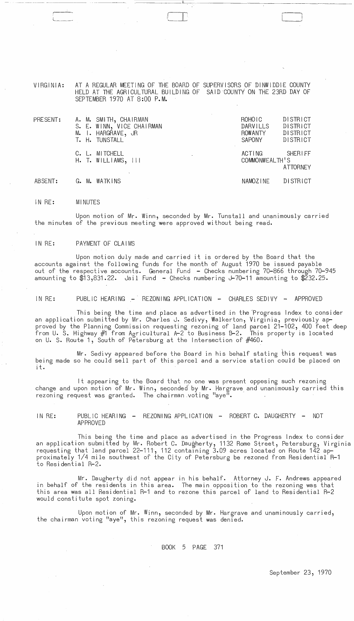VIRGINIA: AT A REGULAR MEETING OF THE BOARD OF SUPERVISORS OF DINWIDDIE COUNTY HELD AT THE AGRICULTURAL BUILDING OF SAID 'COUNTY ON THE 23RD DAY OF SEPTEMBER 1970 AT 8:00 P.M.

 $\mathbb{I}$  .

| PRESENT: | A. M. SMITH, CHAIRMAN<br>S. E. WINN, VICE CHAIRMAN<br>M. I. HARGRAVE, JR<br>T. H. TUNSTALL | ROHOIC<br>DARVILLS<br><b>ROWANTY</b><br>SAPONY | DISTRICT<br><b>DISTRICT</b><br>DISTRICT<br><b>DISTRICT</b> |
|----------|--------------------------------------------------------------------------------------------|------------------------------------------------|------------------------------------------------------------|
|          | C. L. MITCHELL<br>$H.$ T. WILLIAMS, $   $                                                  | ACTING<br>COMMONWEALTH'S                       | SHERIFF<br><b>ATTORNEY</b>                                 |
| ABSENT:  | G. M. WATKINS                                                                              | NAMOZINE                                       | <b>DISTRICT</b>                                            |

ABSENT: G. M. WATKINS

;<br>! L. \_\_ -----'

IN RE: MINUTES

 $\sim$   $\sim$ 

 $\sim 10^{-1}$ 

 $\sim$ 

Upon motion of Mr. Winn, seconded by Mr. Tunstall and unanimously carried the minutes of the previous meeting were approved without being read.

IN RE: PAYMENT OF CLAIMS

Upon motion duly made and carried it is ordered by the Board that the accounts against the following funds for the month of August 1970 be issued payable out of the respective accounts. General Fund - Checks numbering 70-866 through 70-945 amounting to \$13,831.22. Jail Fund - Checks numbering J-70-11 amounting to \$232.25.

IN RE: PUBLIC HEARING - REZONING APPLICATION - CHARLES SEDIVY - APPROVED

This being the time and place as advertised in the Progress Index to consider an application submitted by Mr. Charles J. Sedivy, Walkerton, Virginia, previously approved by the Planning Commission requesting rezoning of land parcel 21-102, 400 feet deep from U. S. Highway  $#1$  from Agricultural A-2 to Business B-2. This property is located on U. S. Route 1, South of Petersburg at the Intersection of  $\#460$ .

Mr. Sedivy appeared before the Board in his behalf stating this request Was being made so he could sell part of this parcel and a service station could be placed on it.

It appearing to the Board that no one was present oppesing such rezoning change and upon motion of Mr. Winn, seconded by Mr. Hargrave and unanimously carried this rezoning request was granted. The chairman voting "aye".

IN RE: PUBLIC HEARING - REZONING APPLICATION - ROBERT C. DAUGHERTY - NOT APPROVED

This being the time and place as advertised in the Progress Index to consider an application submitted by Mr. Robert C. Daugherty, 1132 Rome Street, Petersburg, Virginia requesting that land parcel 22–111, 112 containing 3.09 acres located on Route 142 approximately 1/4 mile southwest of the City of Petersburg be rezoned from Residential R-1 to Residential R-2.

Mr. Daugherty did not appear in his behalf. Attorney J. F. Andrews appeared in behalf of the residents in this area. The main opposition to the rezoning was that this area was all Residential R-1 and to rezone this parcel of land to Residential R-2 would constitute spot zoning.

Upon motion of Mr. Winn, seconded by Mr. Hargrave and unaminously carried, the chairman voting "aye", this rezoning request was denied.

 $\sim$ 

BOOK 5 PAGE 371

September 23, 1970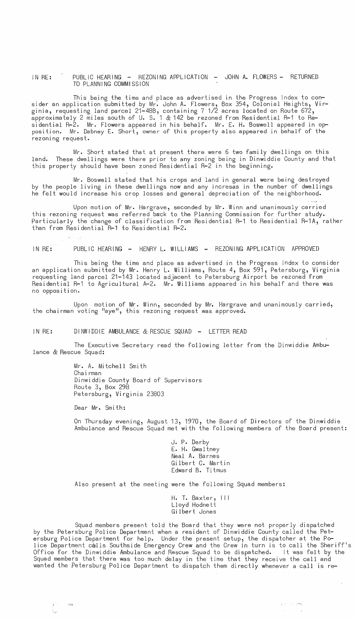IN RE: PUBLIC HEARING - REZONING APPLICATION - JOHN A. FLOWERS - RETURNED TO PLANNING COMMISSION

This being the time and place as advertised in the Progress Index to consider an application submitted by Mr. John A. Flowers, Box 354, Colonial Heights, Virginia, requesting land parcel 21–48B, containing 7 1/2 acres located on Route 672,  $\,$ approximately 2 miles south of U. S. 1 & 142 be rezoned from Residential R-1 to Residential R-2. Mr. Flowers appeared in his behalf. Mr. E. H. Boswell appeared in opposition. Mr. Dabney E. Short, owner of this property also appeared in behalf of the rezoning request.

Mr. Short stated that at present there were 6 two family dwellings on this land. These dwellings were there prior to any zoning being in Dinwiddie County and that this property should have been zoned Residential R-2 in the beginning.

Mr. Boswell stated that his crops and land in general were being destroyed by the people living in these dwellings now and any incresas in the number of dwellings he felt would increase his crop losses and general depreciation of the neighborhood.

Upon motion of Mr. Hargrave, seconded by Mr. Winn and unanimously carried this rezoning request was referred back to the Planning Commission for further study. Particularly the change of classification from Residential R-1 to Residential R-1A, rather than from Residential R-1 to Residential R-2.

IN RE: PUBLIC HEARING - HENRY L. WILLIAMS - REZONING APPLICATION APPROVED

This being the time and place as advertised in the Progress Index to consider an application submitted by Mr. Henry L. Williams, Route 4, Box 591, Petersburg, Virginia requesting land parcel 21-143 located adjacent to Petersburg Airport be rezoned from Residential R-1 to Agricultural A-2. Mr. Williams appeared in his behalf and there was no opposition.

Upon motion of Mr. Winn, seconded by M~ Hargrave and unanimously carried, the chairman voting "aye", this rezoning request was approved.

IN RE: DINWIDDIE AMBULANCE & RESCUE SQUAD - LETTER READ

The Executive Secretary read the following letter from the Dinwiddie Ambulance & Rescue Squad:

> Mr. A. Mitchell Smith Cha i rman Dinwiddie County Board of Supervisors Route 3, Box 298 Petersburg, Virginia 23803

Dear Mr. Smith:

On Thursday evening, August 13, 1970, the Board of Directors of the Dinwiddie Ambulance and Rescue Squad met with the following members of the Board present:

> J. P. Derby E. H. Gwaltney Neal A. Barnes Gilbert C. Martin Edward B. Ti tmus

Also present at the meeting were the following Squad members:

H. T. Baxter, III Lloyd Hodnett Gilbert Jones

Squad members present told the Board that they were not properly dispatched by the Petersburg Police Department when a resident of Dinwiddie County called the Petersburg Police Department for help. Under the present setup, the dispatcher at the Police Department calls Southside Emergency Crew and the Crew in turn is to call the Sheriff's Office for the Dinwiddie Ambulance and Rescue Squad to be dispatched. It was felt by the Squad members that there was too much delay in the time that they receive the call and wanted the Petersburg Police Department to dispatch them directly whenever a call is re-

-= --.,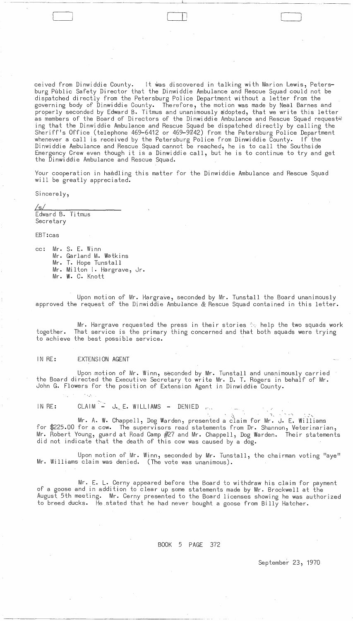ceived from Dinwiddie County. It was discovered in talking with Marion Lewis, Petersburg Public Safety Director that the Dinwiddie Ambulance and Rescue Squad could not be dispatched directly from the Petersburg Police Department without a letter from the governing body of Dinwiddie County. Therefore, the motion was made by Neal Barnes and properly seconded by Edward B. Titmus and unanimously adopted, that we write this letter as members of the Board of Directors of the Dinwiddie Ambulance and Rescue Squad request! ing that the Dinwiddie Ambulance and Rescue Squad be dispatched directly by calling the Sheriff's Office (telephone 469-6412 or 469-9742) from the Petersburg Police Department whenever a call is received by the Petersburg Police from Dinwiddie County. If the Dinwiddie Ambulance and Rescue Squad cannot be reached, he is to call the Southside Emergency Crew even though it is a Dinwiddie call, but he is to continue to try and get the Dinwiddie Ambulance and Rescue Squad.

 $\Box$ 

Your cooperation in hamdling this matter for the Dinwiddie Ambulance and Rescue Squad will be greatly appreciated.

Sincerely,

<u>/s/</u> Edward B. Ti tmus Secretary

EBT:cas

cc: Mr. S. E. Winn Mr. Garland M. Watkins Mr. T. Hope Tunstall Mr. Milton I. Hargrave, Jr. Mr. W. C. Knott

Upon motion of Mr. Hargrave, seconded by Mr. Tunstall the Board unanimously approved the request of the Dinwiddie Ambulance & Rescue Squad contained in this letter.

Mr. Hargrave requested the press in their stories  $\approx$  help the two squads work together. That service is the primary thing concerned and that both squads were trying to achieve the best possible service.

## IN RE: EXTENSION AGENT

 $\cdot$  .  $\cdot$ 

Upon motion of Mr. Winn, seconded by Mr. Tunstall and unanimously carried the Board directed the Executive Secretary to write Mr. D. T. Rogers in behalf of Mr. John G. Flowers for the position of Extension Agent in Dinwiddie County.

IN RE: CLAIM  $-$  J. E. WILLIAMS - DENIED  $\ldots$ 

 $\chi$  ,  $\gamma$  ,  $\gamma$  ,  $\gamma$  ,  $\gamma$  ,  $\chi$  ,  $\chi$  ,  $\gamma$  ,  $\gamma$  ,  $\gamma$  ,  $\chi$  ,  $\chi$ Mr. A. W. Chappell, Dog Warden, presented a claim for Mr. J. E. Williams for \$225.00 for a cow. The supervisors read statements from Dr. Shannon, Veterinarian, Mr. Robert Young, guard at Road Camp #27 and Mr. Chappell, Dog Warden. Their statements did not indicate that the death of this cow was caused by a dog.

Upon motion of Mr. Winn, seconded by Mr. Tunstall, the chairman voting "aye" Mr. Williams claim was denied. (The vote was unanimous).

Mr. E. L. Cerny appeared before the Board to withdraw his claim for payment of a goose and in addition to clear up some statements made by Mr. Brockwell at the August 5th meeting. Mr. Cerny presented to the Board licenses showing he was authorized to breed ducks. He stated that he had never bought a goose from Billy Hatcher.

## BOOK 5 PAGE 372

September- 23, 1970